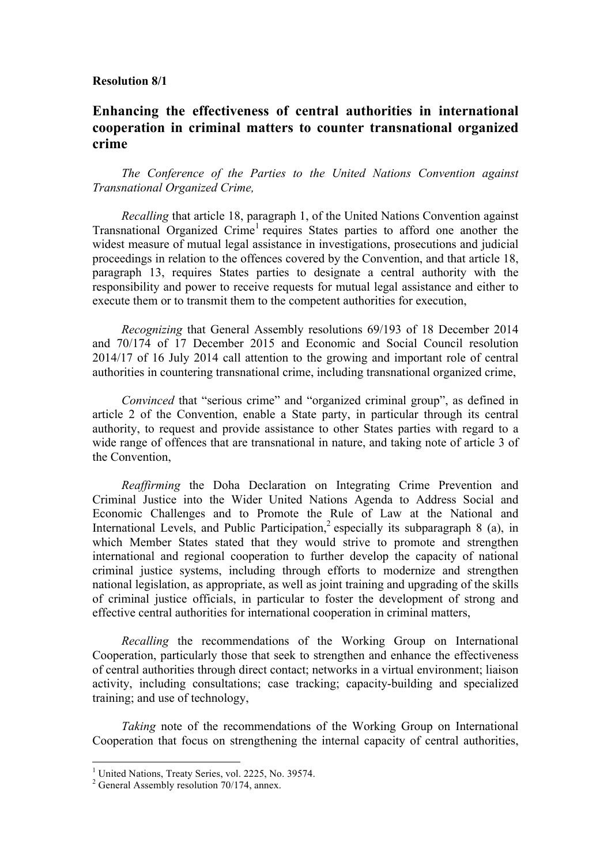#### **Resolution 8/1**

# **Enhancing the effectiveness of central authorities in international cooperation in criminal matters to counter transnational organized crime**

*The Conference of the Parties to the United Nations Convention against Transnational Organized Crime,*

*Recalling* that article 18, paragraph 1, of the United Nations Convention against Transnational Organized Crime<sup>1</sup> requires States parties to afford one another the widest measure of mutual legal assistance in investigations, prosecutions and judicial proceedings in relation to the offences covered by the Convention, and that article 18, paragraph 13, requires States parties to designate a central authority with the responsibility and power to receive requests for mutual legal assistance and either to execute them or to transmit them to the competent authorities for execution,

*Recognizing* that General Assembly resolutions 69/193 of 18 December 2014 and 70/174 of 17 December 2015 and Economic and Social Council resolution 2014/17 of 16 July 2014 call attention to the growing and important role of central authorities in countering transnational crime, including transnational organized crime,

*Convinced* that "serious crime" and "organized criminal group", as defined in article 2 of the Convention, enable a State party, in particular through its central authority, to request and provide assistance to other States parties with regard to a wide range of offences that are transnational in nature, and taking note of article 3 of the Convention,

*Reaffirming* the Doha Declaration on Integrating Crime Prevention and Criminal Justice into the Wider United Nations Agenda to Address Social and Economic Challenges and to Promote the Rule of Law at the National and International Levels, and Public Participation,<sup>2</sup> especially its subparagraph 8 (a), in which Member States stated that they would strive to promote and strengthen international and regional cooperation to further develop the capacity of national criminal justice systems, including through efforts to modernize and strengthen national legislation, as appropriate, as well as joint training and upgrading of the skills of criminal justice officials, in particular to foster the development of strong and effective central authorities for international cooperation in criminal matters,

*Recalling* the recommendations of the Working Group on International Cooperation, particularly those that seek to strengthen and enhance the effectiveness of central authorities through direct contact; networks in a virtual environment; liaison activity, including consultations; case tracking; capacity-building and specialized training; and use of technology,

*Taking* note of the recommendations of the Working Group on International Cooperation that focus on strengthening the internal capacity of central authorities,

<sup>&</sup>lt;sup>1</sup> United Nations, Treaty Series, vol. 2225, No. 39574.

 $2$  General Assembly resolution 70/174, annex.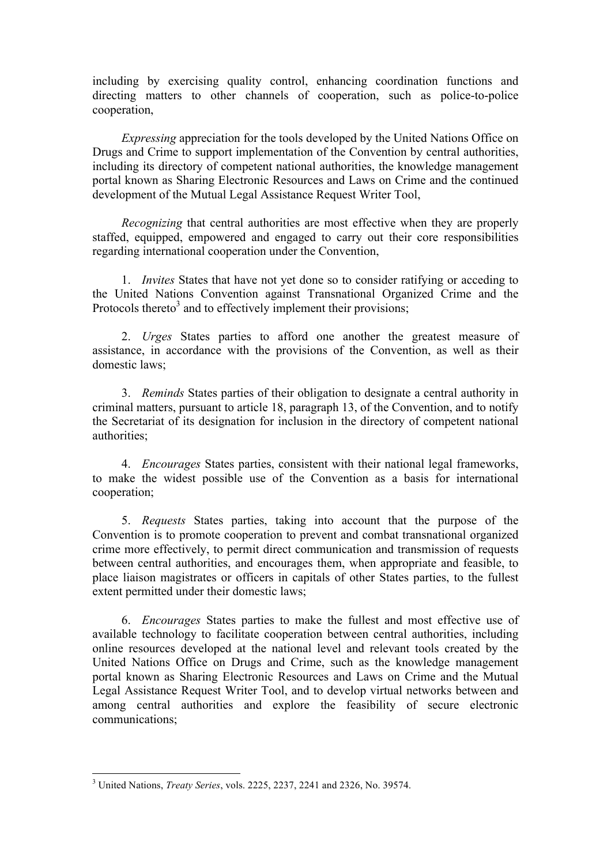including by exercising quality control, enhancing coordination functions and directing matters to other channels of cooperation, such as police-to-police cooperation,

*Expressing* appreciation for the tools developed by the United Nations Office on Drugs and Crime to support implementation of the Convention by central authorities, including its directory of competent national authorities, the knowledge management portal known as Sharing Electronic Resources and Laws on Crime and the continued development of the Mutual Legal Assistance Request Writer Tool,

*Recognizing* that central authorities are most effective when they are properly staffed, equipped, empowered and engaged to carry out their core responsibilities regarding international cooperation under the Convention,

1. *Invites* States that have not yet done so to consider ratifying or acceding to the United Nations Convention against Transnational Organized Crime and the Protocols thereto<sup>3</sup> and to effectively implement their provisions;

2. *Urges* States parties to afford one another the greatest measure of assistance, in accordance with the provisions of the Convention, as well as their domestic laws;

3. *Reminds* States parties of their obligation to designate a central authority in criminal matters, pursuant to article 18, paragraph 13, of the Convention, and to notify the Secretariat of its designation for inclusion in the directory of competent national authorities;

4. *Encourages* States parties, consistent with their national legal frameworks, to make the widest possible use of the Convention as a basis for international cooperation;

5. *Requests* States parties, taking into account that the purpose of the Convention is to promote cooperation to prevent and combat transnational organized crime more effectively, to permit direct communication and transmission of requests between central authorities, and encourages them, when appropriate and feasible, to place liaison magistrates or officers in capitals of other States parties, to the fullest extent permitted under their domestic laws;

6. *Encourages* States parties to make the fullest and most effective use of available technology to facilitate cooperation between central authorities, including online resources developed at the national level and relevant tools created by the United Nations Office on Drugs and Crime, such as the knowledge management portal known as Sharing Electronic Resources and Laws on Crime and the Mutual Legal Assistance Request Writer Tool, and to develop virtual networks between and among central authorities and explore the feasibility of secure electronic communications;

 <sup>3</sup> United Nations, *Treaty Series*, vols. 2225, 2237, 2241 and 2326, No. 39574.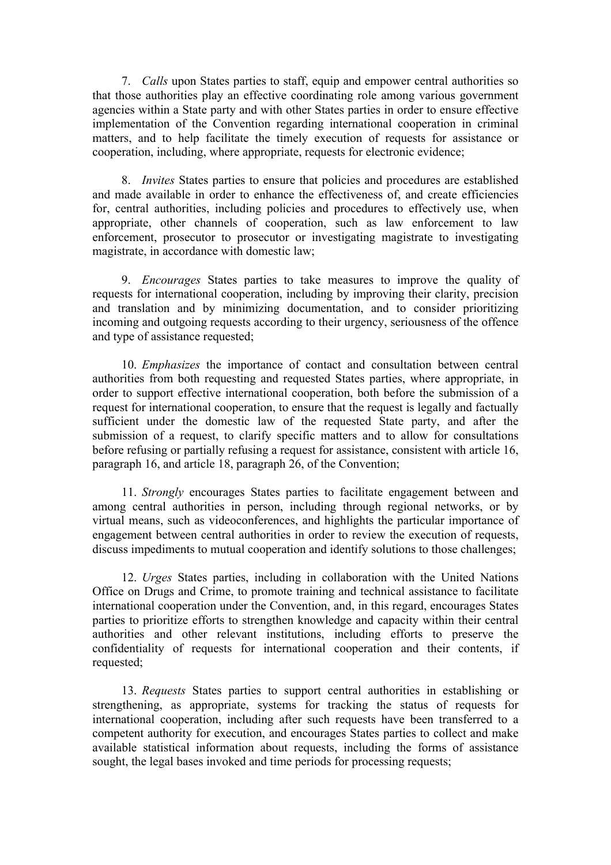7. *Calls* upon States parties to staff, equip and empower central authorities so that those authorities play an effective coordinating role among various government agencies within a State party and with other States parties in order to ensure effective implementation of the Convention regarding international cooperation in criminal matters, and to help facilitate the timely execution of requests for assistance or cooperation, including, where appropriate, requests for electronic evidence;

8. *Invites* States parties to ensure that policies and procedures are established and made available in order to enhance the effectiveness of, and create efficiencies for, central authorities, including policies and procedures to effectively use, when appropriate, other channels of cooperation, such as law enforcement to law enforcement, prosecutor to prosecutor or investigating magistrate to investigating magistrate, in accordance with domestic law;

9. *Encourages* States parties to take measures to improve the quality of requests for international cooperation, including by improving their clarity, precision and translation and by minimizing documentation, and to consider prioritizing incoming and outgoing requests according to their urgency, seriousness of the offence and type of assistance requested;

10. *Emphasizes* the importance of contact and consultation between central authorities from both requesting and requested States parties, where appropriate, in order to support effective international cooperation, both before the submission of a request for international cooperation, to ensure that the request is legally and factually sufficient under the domestic law of the requested State party, and after the submission of a request, to clarify specific matters and to allow for consultations before refusing or partially refusing a request for assistance, consistent with article 16, paragraph 16, and article 18, paragraph 26, of the Convention;

11. *Strongly* encourages States parties to facilitate engagement between and among central authorities in person, including through regional networks, or by virtual means, such as videoconferences, and highlights the particular importance of engagement between central authorities in order to review the execution of requests, discuss impediments to mutual cooperation and identify solutions to those challenges;

12. *Urges* States parties, including in collaboration with the United Nations Office on Drugs and Crime, to promote training and technical assistance to facilitate international cooperation under the Convention, and, in this regard, encourages States parties to prioritize efforts to strengthen knowledge and capacity within their central authorities and other relevant institutions, including efforts to preserve the confidentiality of requests for international cooperation and their contents, if requested;

13. *Requests* States parties to support central authorities in establishing or strengthening, as appropriate, systems for tracking the status of requests for international cooperation, including after such requests have been transferred to a competent authority for execution, and encourages States parties to collect and make available statistical information about requests, including the forms of assistance sought, the legal bases invoked and time periods for processing requests;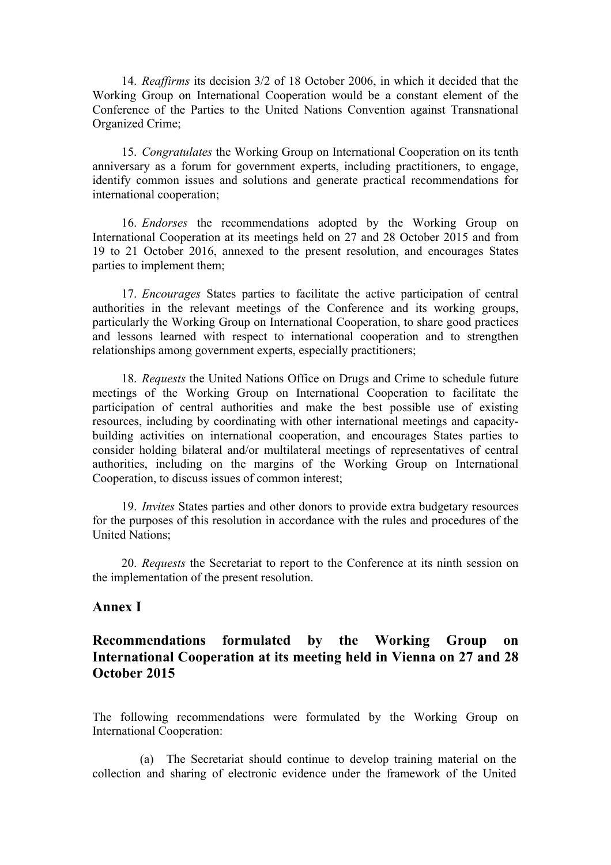14. *Reaffirms* its decision 3/2 of 18 October 2006, in which it decided that the Working Group on International Cooperation would be a constant element of the Conference of the Parties to the United Nations Convention against Transnational Organized Crime;

15. *Congratulates* the Working Group on International Cooperation on its tenth anniversary as a forum for government experts, including practitioners, to engage, identify common issues and solutions and generate practical recommendations for international cooperation;

16. *Endorses* the recommendations adopted by the Working Group on International Cooperation at its meetings held on 27 and 28 October 2015 and from 19 to 21 October 2016, annexed to the present resolution, and encourages States parties to implement them;

17. *Encourages* States parties to facilitate the active participation of central authorities in the relevant meetings of the Conference and its working groups, particularly the Working Group on International Cooperation, to share good practices and lessons learned with respect to international cooperation and to strengthen relationships among government experts, especially practitioners;

18. *Requests* the United Nations Office on Drugs and Crime to schedule future meetings of the Working Group on International Cooperation to facilitate the participation of central authorities and make the best possible use of existing resources, including by coordinating with other international meetings and capacitybuilding activities on international cooperation, and encourages States parties to consider holding bilateral and/or multilateral meetings of representatives of central authorities, including on the margins of the Working Group on International Cooperation, to discuss issues of common interest;

19. *Invites* States parties and other donors to provide extra budgetary resources for the purposes of this resolution in accordance with the rules and procedures of the United Nations;

20. *Requests* the Secretariat to report to the Conference at its ninth session on the implementation of the present resolution.

#### **Annex I**

# **Recommendations formulated by the Working Group on International Cooperation at its meeting held in Vienna on 27 and 28 October 2015**

The following recommendations were formulated by the Working Group on International Cooperation:

(a) The Secretariat should continue to develop training material on the collection and sharing of electronic evidence under the framework of the United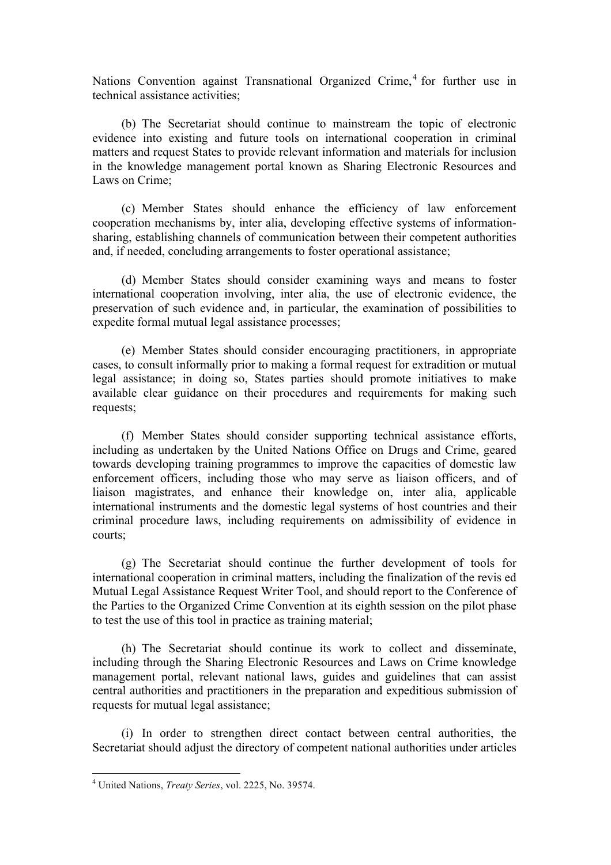Nations Convention against Transnational Organized Crime,  $4$  for further use in technical assistance activities;

(b) The Secretariat should continue to mainstream the topic of electronic evidence into existing and future tools on international cooperation in criminal matters and request States to provide relevant information and materials for inclusion in the knowledge management portal known as Sharing Electronic Resources and Laws on Crime;

(c) Member States should enhance the efficiency of law enforcement cooperation mechanisms by, inter alia, developing effective systems of informationsharing, establishing channels of communication between their competent authorities and, if needed, concluding arrangements to foster operational assistance;

(d) Member States should consider examining ways and means to foster international cooperation involving, inter alia, the use of electronic evidence, the preservation of such evidence and, in particular, the examination of possibilities to expedite formal mutual legal assistance processes;

(e) Member States should consider encouraging practitioners, in appropriate cases, to consult informally prior to making a formal request for extradition or mutual legal assistance; in doing so, States parties should promote initiatives to make available clear guidance on their procedures and requirements for making such requests;

(f) Member States should consider supporting technical assistance efforts, including as undertaken by the United Nations Office on Drugs and Crime, geared towards developing training programmes to improve the capacities of domestic law enforcement officers, including those who may serve as liaison officers, and of liaison magistrates, and enhance their knowledge on, inter alia, applicable international instruments and the domestic legal systems of host countries and their criminal procedure laws, including requirements on admissibility of evidence in courts;

(g) The Secretariat should continue the further development of tools for international cooperation in criminal matters, including the finalization of the revis ed Mutual Legal Assistance Request Writer Tool, and should report to the Conference of the Parties to the Organized Crime Convention at its eighth session on the pilot phase to test the use of this tool in practice as training material;

(h) The Secretariat should continue its work to collect and disseminate, including through the Sharing Electronic Resources and Laws on Crime knowledge management portal, relevant national laws, guides and guidelines that can assist central authorities and practitioners in the preparation and expeditious submission of requests for mutual legal assistance;

(i) In order to strengthen direct contact between central authorities, the Secretariat should adjust the directory of competent national authorities under articles

 <sup>4</sup> United Nations, *Treaty Series*, vol. 2225, No. 39574.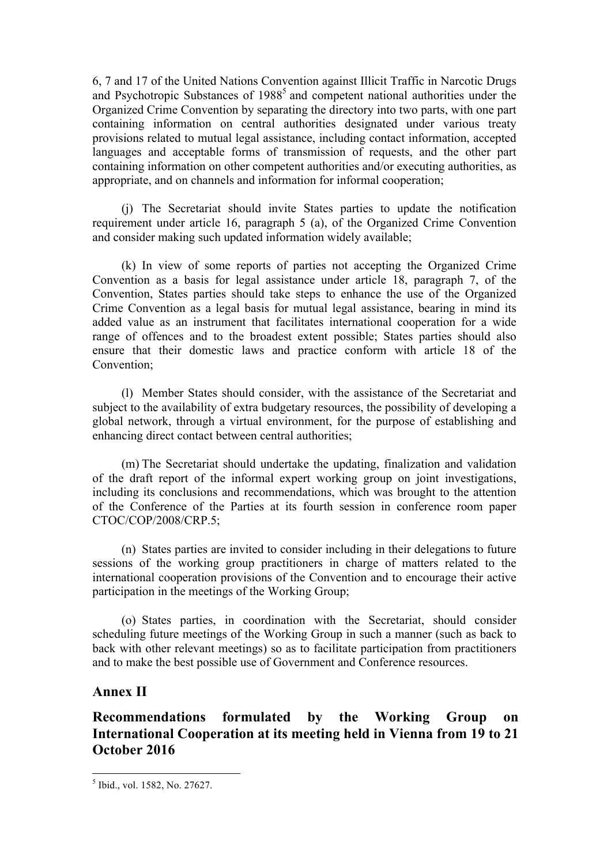6, 7 and 17 of the United Nations Convention against Illicit Traffic in Narcotic Drugs and Psychotropic Substances of 1988<sup>5</sup> and competent national authorities under the Organized Crime Convention by separating the directory into two parts, with one part containing information on central authorities designated under various treaty provisions related to mutual legal assistance, including contact information, accepted languages and acceptable forms of transmission of requests, and the other part containing information on other competent authorities and/or executing authorities, as appropriate, and on channels and information for informal cooperation;

(j) The Secretariat should invite States parties to update the notification requirement under article 16, paragraph 5 (a), of the Organized Crime Convention and consider making such updated information widely available;

(k) In view of some reports of parties not accepting the Organized Crime Convention as a basis for legal assistance under article 18, paragraph 7, of the Convention, States parties should take steps to enhance the use of the Organized Crime Convention as a legal basis for mutual legal assistance, bearing in mind its added value as an instrument that facilitates international cooperation for a wide range of offences and to the broadest extent possible; States parties should also ensure that their domestic laws and practice conform with article 18 of the Convention;

(l) Member States should consider, with the assistance of the Secretariat and subject to the availability of extra budgetary resources, the possibility of developing a global network, through a virtual environment, for the purpose of establishing and enhancing direct contact between central authorities;

(m) The Secretariat should undertake the updating, finalization and validation of the draft report of the informal expert working group on joint investigations, including its conclusions and recommendations, which was brought to the attention of the Conference of the Parties at its fourth session in conference room paper CTOC/COP/2008/CRP.5;

(n) States parties are invited to consider including in their delegations to future sessions of the working group practitioners in charge of matters related to the international cooperation provisions of the Convention and to encourage their active participation in the meetings of the Working Group;

(o) States parties, in coordination with the Secretariat, should consider scheduling future meetings of the Working Group in such a manner (such as back to back with other relevant meetings) so as to facilitate participation from practitioners and to make the best possible use of Government and Conference resources.

#### **Annex II**

# **Recommendations formulated by the Working Group on International Cooperation at its meeting held in Vienna from 19 to 21 October 2016**

 <sup>5</sup> Ibid., vol. 1582, No. 27627.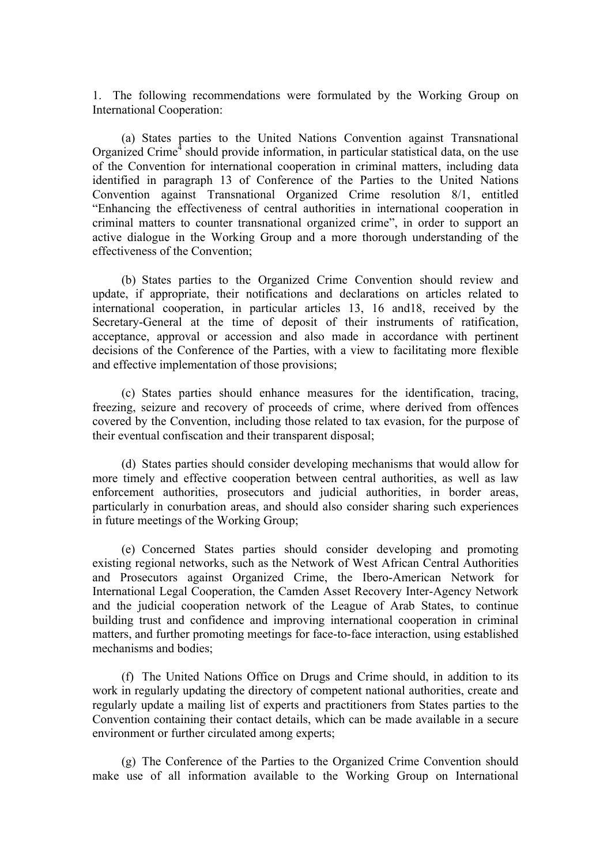1. The following recommendations were formulated by the Working Group on International Cooperation:

(a) States parties to the United Nations Convention against Transnational Organized Crime<sup> $4$ </sup> should provide information, in particular statistical data, on the use of the Convention for international cooperation in criminal matters, including data identified in paragraph 13 of Conference of the Parties to the United Nations Convention against Transnational Organized Crime resolution 8/1, entitled "Enhancing the effectiveness of central authorities in international cooperation in criminal matters to counter transnational organized crime", in order to support an active dialogue in the Working Group and a more thorough understanding of the effectiveness of the Convention;

(b) States parties to the Organized Crime Convention should review and update, if appropriate, their notifications and declarations on articles related to international cooperation, in particular articles 13, 16 and18, received by the Secretary-General at the time of deposit of their instruments of ratification, acceptance, approval or accession and also made in accordance with pertinent decisions of the Conference of the Parties, with a view to facilitating more flexible and effective implementation of those provisions;

(c) States parties should enhance measures for the identification, tracing, freezing, seizure and recovery of proceeds of crime, where derived from offences covered by the Convention, including those related to tax evasion, for the purpose of their eventual confiscation and their transparent disposal;

(d) States parties should consider developing mechanisms that would allow for more timely and effective cooperation between central authorities, as well as law enforcement authorities, prosecutors and judicial authorities, in border areas, particularly in conurbation areas, and should also consider sharing such experiences in future meetings of the Working Group;

(e) Concerned States parties should consider developing and promoting existing regional networks, such as the Network of West African Central Authorities and Prosecutors against Organized Crime, the Ibero-American Network for International Legal Cooperation, the Camden Asset Recovery Inter-Agency Network and the judicial cooperation network of the League of Arab States, to continue building trust and confidence and improving international cooperation in criminal matters, and further promoting meetings for face-to-face interaction, using established mechanisms and bodies;

(f) The United Nations Office on Drugs and Crime should, in addition to its work in regularly updating the directory of competent national authorities, create and regularly update a mailing list of experts and practitioners from States parties to the Convention containing their contact details, which can be made available in a secure environment or further circulated among experts;

(g) The Conference of the Parties to the Organized Crime Convention should make use of all information available to the Working Group on International